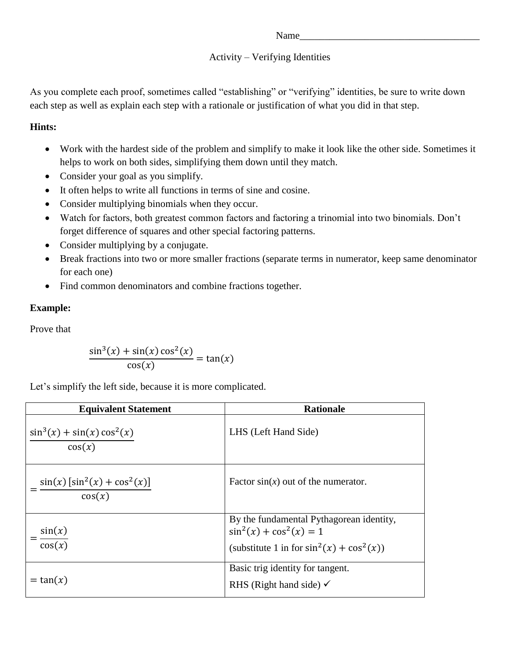## Name

## Activity – Verifying Identities

As you complete each proof, sometimes called "establishing" or "verifying" identities, be sure to write down each step as well as explain each step with a rationale or justification of what you did in that step.

## **Hints:**

- Work with the hardest side of the problem and simplify to make it look like the other side. Sometimes it helps to work on both sides, simplifying them down until they match.
- Consider your goal as you simplify.
- It often helps to write all functions in terms of sine and cosine.
- Consider multiplying binomials when they occur.
- Watch for factors, both greatest common factors and factoring a trinomial into two binomials. Don't forget difference of squares and other special factoring patterns.
- Consider multiplying by a conjugate.
- Break fractions into two or more smaller fractions (separate terms in numerator, keep same denominator for each one)
- Find common denominators and combine fractions together.

## **Example:**

Prove that

$$
\frac{\sin^3(x) + \sin(x)\cos^2(x)}{\cos(x)} = \tan(x)
$$

Let's simplify the left side, because it is more complicated.

| <b>Equivalent Statement</b>                 | <b>Rationale</b>                                                                                                        |  |  |
|---------------------------------------------|-------------------------------------------------------------------------------------------------------------------------|--|--|
| $\sin^3(x) + \sin(x) \cos^2(x)$<br>cos(x)   | LHS (Left Hand Side)                                                                                                    |  |  |
| $\sin(x) [\sin^2(x) + \cos^2(x)]$<br>cos(x) | Factor $sin(x)$ out of the numerator.                                                                                   |  |  |
| sin(x)<br>$\overline{\cos(x)}$              | By the fundamental Pythagorean identity,<br>$\sin^2(x) + \cos^2(x) = 1$<br>(substitute 1 in for $sin^2(x) + cos^2(x)$ ) |  |  |
| $=$ tan $(x)$                               | Basic trig identity for tangent.<br>RHS (Right hand side) $\checkmark$                                                  |  |  |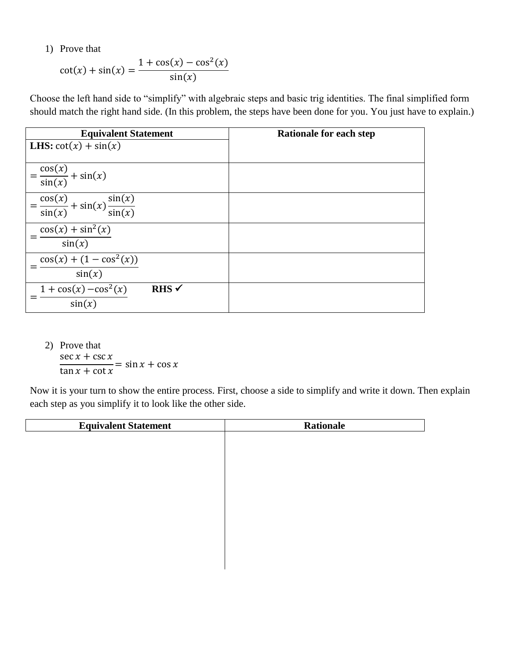1) Prove that

$$
\cot(x) + \sin(x) = \frac{1 + \cos(x) - \cos^{2}(x)}{\sin(x)}
$$

Choose the left hand side to "simplify" with algebraic steps and basic trig identities. The final simplified form should match the right hand side. (In this problem, the steps have been done for you. You just have to explain.)

| <b>Equivalent Statement</b>                                  | <b>Rationale for each step</b> |
|--------------------------------------------------------------|--------------------------------|
| <b>LHS:</b> $cot(x) + sin(x)$                                |                                |
|                                                              |                                |
| $=\frac{\cos(x)}{\sin(x)} + \sin(x)$                         |                                |
|                                                              |                                |
|                                                              |                                |
| $=\frac{\cos(x)}{\sin(x)} + \sin(x) \frac{\sin(x)}{\sin(x)}$ |                                |
| $cos(x) + sin2(x)$                                           |                                |
| sin(x)                                                       |                                |
| $cos(x) + (1 - cos2(x))$                                     |                                |
| sin(x)                                                       |                                |
| $1 + \cos(x) - \cos^2(x)$<br>$R$ HS $\checkmark$             |                                |
| sin(x)                                                       |                                |

2) Prove that  $\sec x + \csc x$  $\tan x + \cot x$  $=$  sin  $x$  + cos x

 $\overline{\phantom{a}}$ 

Now it is your turn to show the entire process. First, choose a side to simplify and write it down. Then explain each step as you simplify it to look like the other side.

| <b>Equivalent Statement</b> | <b>Rationale</b> |
|-----------------------------|------------------|
|                             |                  |
|                             |                  |
|                             |                  |
|                             |                  |
|                             |                  |
|                             |                  |
|                             |                  |
|                             |                  |
|                             |                  |
|                             |                  |
|                             |                  |
|                             |                  |
|                             |                  |